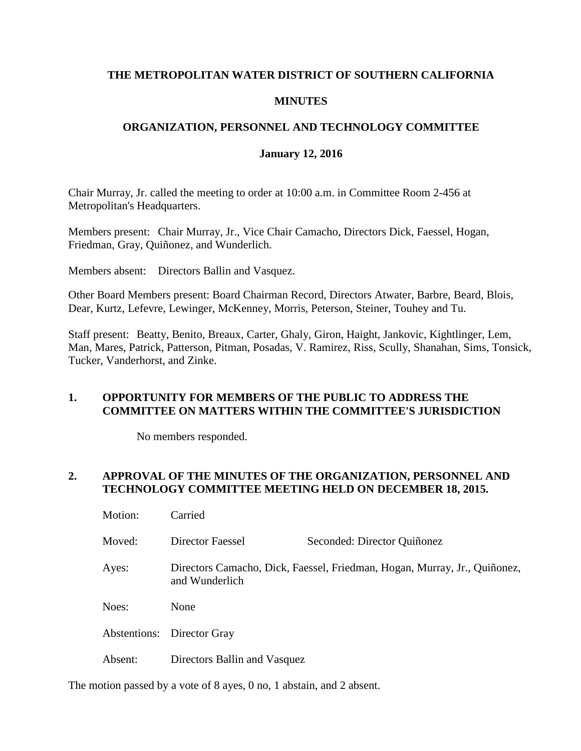#### **THE METROPOLITAN WATER DISTRICT OF SOUTHERN CALIFORNIA**

#### **MINUTES**

### **ORGANIZATION, PERSONNEL AND TECHNOLOGY COMMITTEE**

#### **January 12, 2016**

Chair Murray, Jr. called the meeting to order at 10:00 a.m. in Committee Room 2-456 at Metropolitan's Headquarters.

Members present: Chair Murray, Jr., Vice Chair Camacho, Directors Dick, Faessel, Hogan, Friedman, Gray, Quiñonez, and Wunderlich.

Members absent: Directors Ballin and Vasquez.

Other Board Members present: Board Chairman Record, Directors Atwater, Barbre, Beard, Blois, Dear, Kurtz, Lefevre, Lewinger, McKenney, Morris, Peterson, Steiner, Touhey and Tu.

Staff present: Beatty, Benito, Breaux, Carter, Ghaly, Giron, Haight, Jankovic, Kightlinger, Lem, Man, Mares, Patrick, Patterson, Pitman, Posadas, V. Ramirez, Riss, Scully, Shanahan, Sims, Tonsick, Tucker, Vanderhorst, and Zinke.

#### **1. OPPORTUNITY FOR MEMBERS OF THE PUBLIC TO ADDRESS THE COMMITTEE ON MATTERS WITHIN THE COMMITTEE'S JURISDICTION**

No members responded.

### **2. APPROVAL OF THE MINUTES OF THE ORGANIZATION, PERSONNEL AND TECHNOLOGY COMMITTEE MEETING HELD ON DECEMBER 18, 2015.**

| Motion: | Carried                                                                                     |                             |
|---------|---------------------------------------------------------------------------------------------|-----------------------------|
| Moved:  | Director Faessel                                                                            | Seconded: Director Quiñonez |
| Ayes:   | Directors Camacho, Dick, Faessel, Friedman, Hogan, Murray, Jr., Quiñonez,<br>and Wunderlich |                             |
| Noes:   | None                                                                                        |                             |
|         | Abstentions: Director Gray                                                                  |                             |
| Absent: | Directors Ballin and Vasquez                                                                |                             |

The motion passed by a vote of 8 ayes, 0 no, 1 abstain, and 2 absent.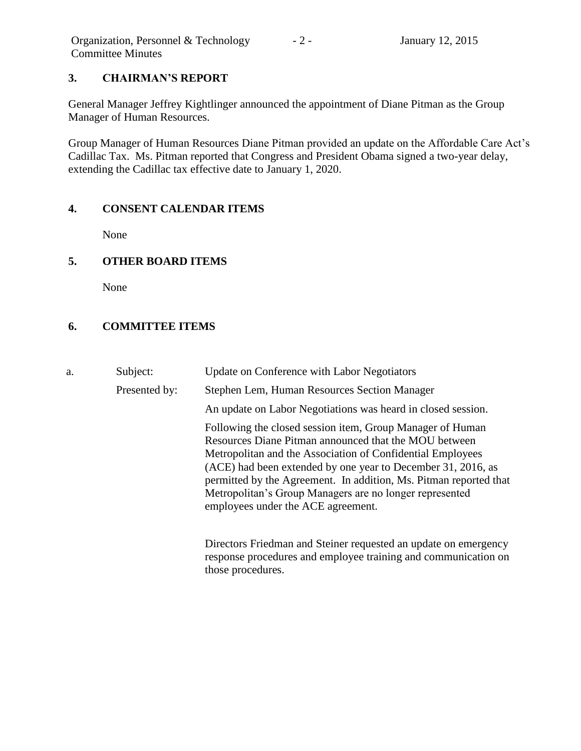# **3. CHAIRMAN'S REPORT**

General Manager Jeffrey Kightlinger announced the appointment of Diane Pitman as the Group Manager of Human Resources.

Group Manager of Human Resources Diane Pitman provided an update on the Affordable Care Act's Cadillac Tax. Ms. Pitman reported that Congress and President Obama signed a two-year delay, extending the Cadillac tax effective date to January 1, 2020.

### **4. CONSENT CALENDAR ITEMS**

None

# **5. OTHER BOARD ITEMS**

None

# **6. COMMITTEE ITEMS**

a. Subject: Update on Conference with Labor Negotiators Presented by: Stephen Lem, Human Resources Section Manager An update on Labor Negotiations was heard in closed session. Following the closed session item, Group Manager of Human Resources Diane Pitman announced that the MOU between Metropolitan and the Association of Confidential Employees (ACE) had been extended by one year to December 31, 2016, as permitted by the Agreement. In addition, Ms. Pitman reported that Metropolitan's Group Managers are no longer represented employees under the ACE agreement.

Directors Friedman and Steiner requested an update on emergency response procedures and employee training and communication on those procedures.